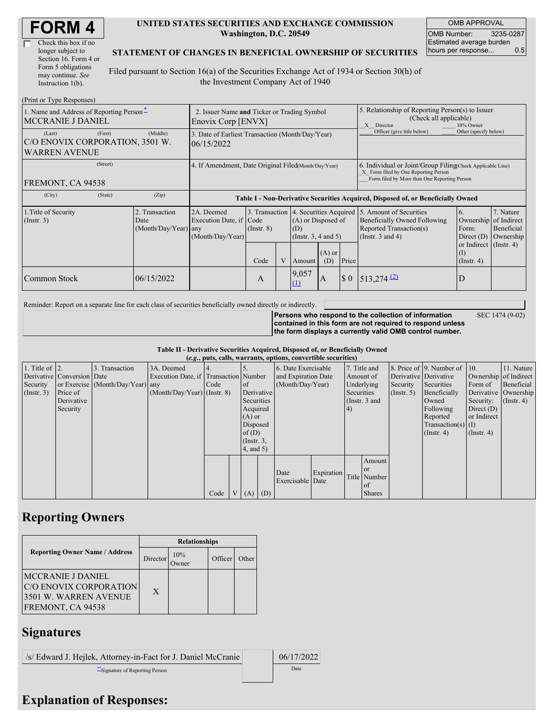| <b>FORM4</b> |
|--------------|
|--------------|

| Check this box if no  |
|-----------------------|
| longer subject to     |
| Section 16. Form 4 or |
| Form 5 obligations    |
| may continue. See     |
| Instruction 1(b).     |

## **UNITED STATES SECURITIES AND EXCHANGE COMMISSION Washington, D.C. 20549**

OMB APPROVAL OMB Number: 3235-0287 Estimated average burden hours per response... 0.5

## **STATEMENT OF CHANGES IN BENEFICIAL OWNERSHIP OF SECURITIES**

Filed pursuant to Section 16(a) of the Securities Exchange Act of 1934 or Section 30(h) of the Investment Company Act of 1940

| (Print or Type Responses)                                                                                                                                  |                                                                   |                                                           |                                   |                                                                                         |                        |                                                                                                       |                                                                                                                                                    |                                                                                  |                                                     |  |  |
|------------------------------------------------------------------------------------------------------------------------------------------------------------|-------------------------------------------------------------------|-----------------------------------------------------------|-----------------------------------|-----------------------------------------------------------------------------------------|------------------------|-------------------------------------------------------------------------------------------------------|----------------------------------------------------------------------------------------------------------------------------------------------------|----------------------------------------------------------------------------------|-----------------------------------------------------|--|--|
| 1. Name and Address of Reporting Person-<br><b>MCCRANIE J DANIEL</b>                                                                                       | 2. Issuer Name and Ticker or Trading Symbol<br>Enovix Corp [ENVX] |                                                           |                                   |                                                                                         |                        | 5. Relationship of Reporting Person(s) to Issuer<br>(Check all applicable)<br>10% Owner<br>X Director |                                                                                                                                                    |                                                                                  |                                                     |  |  |
| (First)<br>(Middle)<br>(Last)<br>3. Date of Earliest Transaction (Month/Day/Year)<br>C/O ENOVIX CORPORATION, 3501 W.<br>06/15/2022<br><b>WARREN AVENUE</b> |                                                                   |                                                           |                                   |                                                                                         |                        |                                                                                                       | Officer (give title below)                                                                                                                         | Other (specify below)                                                            |                                                     |  |  |
| (Street)<br>FREMONT, CA 94538                                                                                                                              | 4. If Amendment, Date Original Filed(Month/Day/Year)              |                                                           |                                   |                                                                                         |                        |                                                                                                       | 6. Individual or Joint/Group Filing Check Applicable Line)<br>X Form filed by One Reporting Person<br>Form filed by More than One Reporting Person |                                                                                  |                                                     |  |  |
| (City)<br>(State)                                                                                                                                          | (Zip)                                                             |                                                           |                                   |                                                                                         |                        |                                                                                                       |                                                                                                                                                    | Table I - Non-Derivative Securities Acquired, Disposed of, or Beneficially Owned |                                                     |  |  |
| 1. Title of Security<br>$($ Instr. 3 $)$                                                                                                                   | 2. Transaction<br>Date<br>$(Month/Day/Year)$ any                  | 2A. Deemed<br>Execution Date, if Code<br>(Month/Day/Year) | 3. Transaction<br>$($ Instr. $8)$ | 4. Securities Acquired<br>(A) or Disposed of<br>(D)<br>(Insert. 3, 4 and 5)<br>$(A)$ or |                        |                                                                                                       | 5. Amount of Securities<br>Beneficially Owned Following<br>Reported Transaction(s)<br>(Instr. $3$ and $4$ )                                        | 6.<br>Ownership<br>Form:<br>Direct $(D)$<br>or Indirect (Instr. 4)<br>(I)        | 7. Nature<br>of Indirect<br>Beneficial<br>Ownership |  |  |
| Common Stock                                                                                                                                               | 06/15/2022                                                        |                                                           | Code<br>A                         |                                                                                         | Amount<br>9,057<br>(1) | (D)<br>$\mathbf{A}$                                                                                   | Price<br>$\boldsymbol{\mathsf{S}}$ 0                                                                                                               | $513,274$ <sup>(2)</sup>                                                         | $($ Instr. 4 $)$<br>D                               |  |  |

Reminder: Report on a separate line for each class of securities beneficially owned directly or indirectly.

**Persons who respond to the collection of information contained in this form are not required to respond unless the form displays a currently valid OMB control number.**

SEC 1474 (9-02)

**Table II - Derivative Securities Acquired, Disposed of, or Beneficially Owned**

|                        | (e.g., puts, calls, warrants, options, convertible securities) |                                  |                                       |      |                |                  |            |                          |            |            |               |                       |                              |                       |                      |
|------------------------|----------------------------------------------------------------|----------------------------------|---------------------------------------|------|----------------|------------------|------------|--------------------------|------------|------------|---------------|-----------------------|------------------------------|-----------------------|----------------------|
| 1. Title of $\vert$ 2. |                                                                | 3. Transaction                   | 3A. Deemed                            |      |                |                  |            | 6. Date Exercisable      |            |            | 7. Title and  |                       | 8. Price of 9. Number of 10. |                       | 11. Nature           |
|                        | Derivative Conversion Date                                     |                                  | Execution Date, if Transaction Number |      |                |                  |            | and Expiration Date      |            |            | Amount of     | Derivative Derivative |                              | Ownership of Indirect |                      |
| Security               |                                                                | or Exercise (Month/Day/Year) any |                                       | Code |                | of               |            | (Month/Day/Year)         |            |            | Underlying    | Security              | Securities                   | Form of               | Beneficial           |
| (Insert. 3)            | Price of                                                       |                                  | $(Month/Day/Year)$ (Instr. 8)         |      |                | Derivative       |            |                          |            | Securities |               | $($ Instr. 5)         | Beneficially                 |                       | Derivative Ownership |
|                        | Derivative                                                     |                                  |                                       |      |                | Securities       |            |                          |            |            | (Instr. 3 and |                       | Owned                        | Security:             | $($ Instr. 4 $)$     |
|                        | Security                                                       |                                  |                                       |      |                | Acquired         |            |                          |            | (4)        |               |                       | Following                    | Direct $(D)$          |                      |
|                        |                                                                |                                  |                                       |      |                | $(A)$ or         |            |                          |            |            |               |                       | Reported                     | or Indirect           |                      |
|                        |                                                                |                                  |                                       |      |                | Disposed         |            |                          |            |            |               |                       | $Transaction(s)$ (I)         |                       |                      |
|                        |                                                                |                                  |                                       |      |                | of(D)            |            |                          |            |            |               |                       | $($ Instr. 4 $)$             | $($ Instr. 4 $)$      |                      |
|                        |                                                                |                                  |                                       |      |                | $($ Instr. $3$ , |            |                          |            |            |               |                       |                              |                       |                      |
|                        |                                                                |                                  |                                       |      |                | 4, and 5)        |            |                          |            |            |               |                       |                              |                       |                      |
|                        |                                                                |                                  |                                       |      |                |                  |            |                          |            |            | Amount        |                       |                              |                       |                      |
|                        |                                                                |                                  |                                       |      |                |                  |            |                          | Expiration |            | <sub>or</sub> |                       |                              |                       |                      |
|                        |                                                                |                                  |                                       |      |                |                  |            | Date<br>Exercisable Date |            |            | Title Number  |                       |                              |                       |                      |
|                        |                                                                |                                  |                                       |      |                |                  |            |                          |            |            | of            |                       |                              |                       |                      |
|                        |                                                                |                                  |                                       | Code | V <sub>1</sub> | (A)              | $\mid$ (D) |                          |            |            | <b>Shares</b> |                       |                              |                       |                      |

## **Reporting Owners**

|                                                                                                  | <b>Relationships</b> |              |         |       |  |  |  |
|--------------------------------------------------------------------------------------------------|----------------------|--------------|---------|-------|--|--|--|
| <b>Reporting Owner Name / Address</b>                                                            | Director             | 10%<br>)wner | Officer | Other |  |  |  |
| <b>MCCRANIE J DANIEL</b><br>C/O ENOVIX CORPORATION<br>3501 W. WARREN AVENUE<br>FREMONT, CA 94538 | $\mathbf{X}$         |              |         |       |  |  |  |

## **Signatures**

/s/ Edward J. Hejlek, Attorney-in-Fact for J. Daniel McCranie 06/17/2022 \*\*Signature of Reporting Person Date

**Explanation of Responses:**